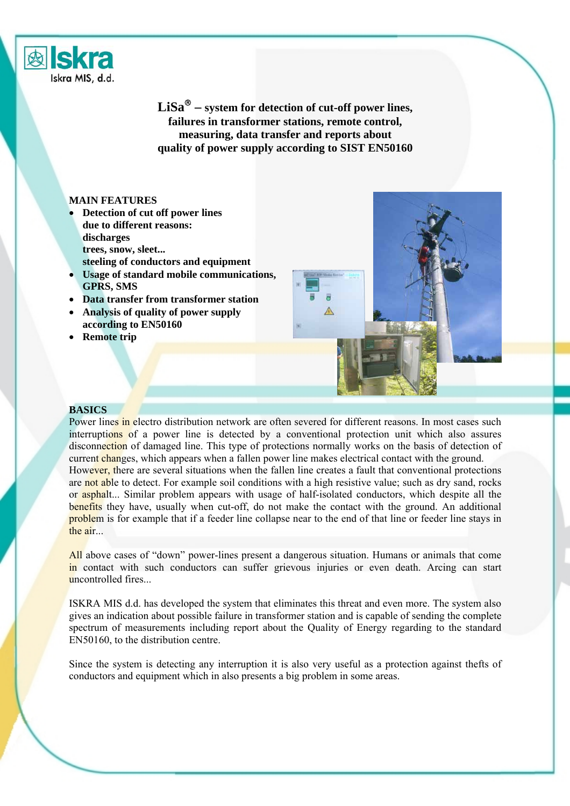

**LiSa**® **– system for detection of cut-off power lines, failures in transformer stations, remote control, measuring, data transfer and reports about quality of power supply according to SIST EN50160**

## **MAIN FEATURES**

- **Detection of cut off power lines due to different reasons: discharges trees, snow, sleet... steeling of conductors and equipment**
- **Usage of standard mobile communications, GPRS, SMS**
- **Data transfer from transformer station**
- **Analysis of quality of power supply according to EN50160**
- **Remote trip**



## **BASICS**

Power lines in electro distribution network are often severed for different reasons. In most cases such interruptions of a power line is detected by a conventional protection unit which also assures disconnection of damaged line. This type of protections normally works on the basis of detection of current changes, which appears when a fallen power line makes electrical contact with the ground. However, there are several situations when the fallen line creates a fault that conventional protections are not able to detect. For example soil conditions with a high resistive value; such as dry sand, rocks or asphalt... Similar problem appears with usage of half-isolated conductors, which despite all the benefits they have, usually when cut-off, do not make the contact with the ground. An additional problem is for example that if a feeder line collapse near to the end of that line or feeder line stays in the air.

All above cases of "down" power-lines present a dangerous situation. Humans or animals that come in contact with such conductors can suffer grievous injuries or even death. Arcing can start uncontrolled fires...

ISKRA MIS d.d. has developed the system that eliminates this threat and even more. The system also gives an indication about possible failure in transformer station and is capable of sending the complete spectrum of measurements including report about the Quality of Energy regarding to the standard EN50160, to the distribution centre.

Since the system is detecting any interruption it is also very useful as a protection against thefts of conductors and equipment which in also presents a big problem in some areas.